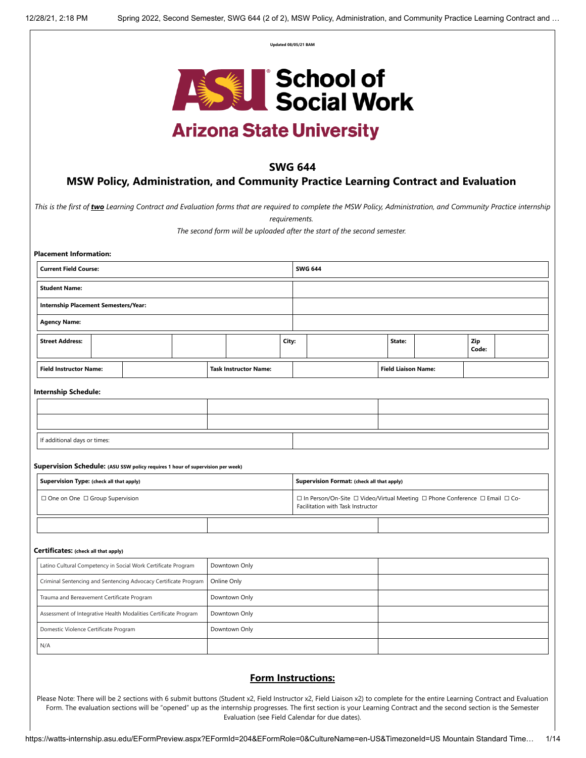| Updated 08/05/21 BAM |  |
|----------------------|--|
|                      |  |



# **Arizona State University**

## **SWG 644**

## **MSW Policy, Administration, and Community Practice Learning Contract and Evaluation**

*This is the first of two Learning Contract and Evaluation forms that are required to complete the MSW Policy, Administration, and Community Practice internship*

*requirements.* 

*The second form will be uploaded after the start of the second semester.* 

| <b>Current Field Course:</b>                                                                                               |  |  |  |                              | <b>SWG 644</b> |                                                                                                                   |                            |  |              |  |
|----------------------------------------------------------------------------------------------------------------------------|--|--|--|------------------------------|----------------|-------------------------------------------------------------------------------------------------------------------|----------------------------|--|--------------|--|
| <b>Student Name:</b>                                                                                                       |  |  |  |                              |                |                                                                                                                   |                            |  |              |  |
| <b>Internship Placement Semesters/Year:</b>                                                                                |  |  |  |                              |                |                                                                                                                   |                            |  |              |  |
| <b>Agency Name:</b>                                                                                                        |  |  |  |                              |                |                                                                                                                   |                            |  |              |  |
| <b>Street Address:</b>                                                                                                     |  |  |  |                              | City:          |                                                                                                                   | State:                     |  | Zip<br>Code: |  |
| <b>Field Instructor Name:</b>                                                                                              |  |  |  | <b>Task Instructor Name:</b> |                |                                                                                                                   | <b>Field Liaison Name:</b> |  |              |  |
| <b>Internship Schedule:</b>                                                                                                |  |  |  |                              |                |                                                                                                                   |                            |  |              |  |
|                                                                                                                            |  |  |  |                              |                |                                                                                                                   |                            |  |              |  |
|                                                                                                                            |  |  |  |                              |                |                                                                                                                   |                            |  |              |  |
| If additional days or times:                                                                                               |  |  |  |                              |                |                                                                                                                   |                            |  |              |  |
|                                                                                                                            |  |  |  |                              |                |                                                                                                                   |                            |  |              |  |
| Supervision Schedule: (ASU SSW policy requires 1 hour of supervision per week)<br>Supervision Type: (check all that apply) |  |  |  |                              |                | Supervision Format: (check all that apply)                                                                        |                            |  |              |  |
| □ One on One □ Group Supervision                                                                                           |  |  |  |                              |                | □ In Person/On-Site □ Video/Virtual Meeting □ Phone Conference □ Email □ Co-<br>Facilitation with Task Instructor |                            |  |              |  |
|                                                                                                                            |  |  |  |                              |                |                                                                                                                   |                            |  |              |  |
| Certificates: (check all that apply)                                                                                       |  |  |  |                              |                |                                                                                                                   |                            |  |              |  |
| Latino Cultural Competency in Social Work Certificate Program                                                              |  |  |  | Downtown Only                |                |                                                                                                                   |                            |  |              |  |
| Criminal Sentencing and Sentencing Advocacy Certificate Program<br>Online Only                                             |  |  |  |                              |                |                                                                                                                   |                            |  |              |  |
| Downtown Only<br>Trauma and Bereavement Certificate Program                                                                |  |  |  |                              |                |                                                                                                                   |                            |  |              |  |
| Assessment of Integrative Health Modalities Certificate Program                                                            |  |  |  | Downtown Only                |                |                                                                                                                   |                            |  |              |  |
| Domestic Violence Certificate Program                                                                                      |  |  |  | Downtown Only                |                |                                                                                                                   |                            |  |              |  |
| N/A                                                                                                                        |  |  |  |                              |                |                                                                                                                   |                            |  |              |  |

## **Form Instructions:**

Please Note: There will be 2 sections with 6 submit buttons (Student x2, Field Instructor x2, Field Liaison x2) to complete for the entire Learning Contract and Evaluation Form. The evaluation sections will be "opened" up as the internship progresses. The first section is your Learning Contract and the second section is the Semester Evaluation (see Field Calendar for due dates).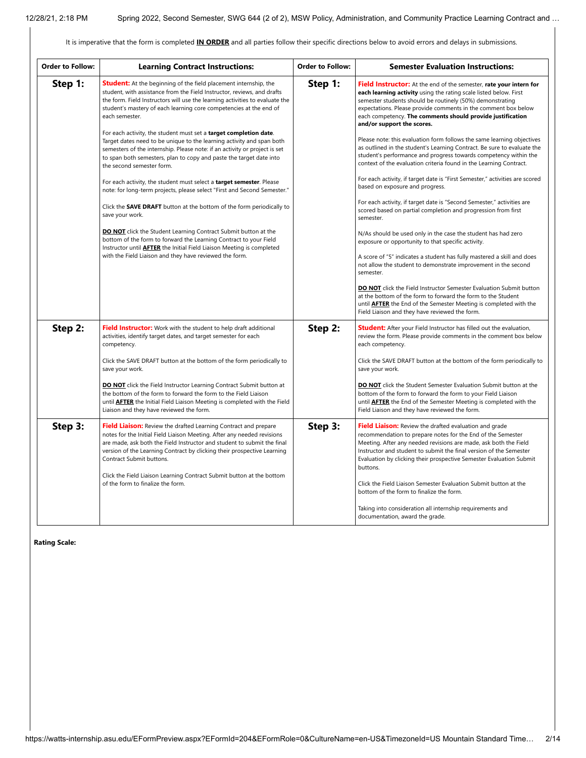It is imperative that the form is completed **IN ORDER** and all parties follow their specific directions below to avoid errors and delays in submissions.

| <b>Order to Follow:</b> | <b>Learning Contract Instructions:</b>                                                                                                                                                                                                                                                                                                                                                                                                                                                                                                                                                                                                                                                                                                                                                                                                                                                                                                                                                                                                                                                                                                                                                                       | Order to Follow: | <b>Semester Evaluation Instructions:</b>                                                                                                                                                                                                                                                                                                                                                                                                                                                                                                                                                                                                                                                                                                                                                                                                                                                                                                                                                                                                                                                                                                                                                                                                                                                                                                                            |
|-------------------------|--------------------------------------------------------------------------------------------------------------------------------------------------------------------------------------------------------------------------------------------------------------------------------------------------------------------------------------------------------------------------------------------------------------------------------------------------------------------------------------------------------------------------------------------------------------------------------------------------------------------------------------------------------------------------------------------------------------------------------------------------------------------------------------------------------------------------------------------------------------------------------------------------------------------------------------------------------------------------------------------------------------------------------------------------------------------------------------------------------------------------------------------------------------------------------------------------------------|------------------|---------------------------------------------------------------------------------------------------------------------------------------------------------------------------------------------------------------------------------------------------------------------------------------------------------------------------------------------------------------------------------------------------------------------------------------------------------------------------------------------------------------------------------------------------------------------------------------------------------------------------------------------------------------------------------------------------------------------------------------------------------------------------------------------------------------------------------------------------------------------------------------------------------------------------------------------------------------------------------------------------------------------------------------------------------------------------------------------------------------------------------------------------------------------------------------------------------------------------------------------------------------------------------------------------------------------------------------------------------------------|
| Step 1:                 | <b>Student:</b> At the beginning of the field placement internship, the<br>student, with assistance from the Field Instructor, reviews, and drafts<br>the form. Field Instructors will use the learning activities to evaluate the<br>student's mastery of each learning core competencies at the end of<br>each semester.<br>For each activity, the student must set a <b>target completion date</b> .<br>Target dates need to be unique to the learning activity and span both<br>semesters of the internship. Please note: if an activity or project is set<br>to span both semesters, plan to copy and paste the target date into<br>the second semester form.<br>For each activity, the student must select a target semester. Please<br>note: for long-term projects, please select "First and Second Semester."<br>Click the SAVE DRAFT button at the bottom of the form periodically to<br>save your work.<br><b>DO NOT</b> click the Student Learning Contract Submit button at the<br>bottom of the form to forward the Learning Contract to your Field<br>Instructor until <b>AFTER</b> the Initial Field Liaison Meeting is completed<br>with the Field Liaison and they have reviewed the form. | Step 1:          | Field Instructor: At the end of the semester, rate your intern for<br>each learning activity using the rating scale listed below. First<br>semester students should be routinely (50%) demonstrating<br>expectations. Please provide comments in the comment box below<br>each competency. The comments should provide justification<br>and/or support the scores.<br>Please note: this evaluation form follows the same learning objectives<br>as outlined in the student's Learning Contract. Be sure to evaluate the<br>student's performance and progress towards competency within the<br>context of the evaluation criteria found in the Learning Contract.<br>For each activity, if target date is "First Semester," activities are scored<br>based on exposure and progress.<br>For each activity, if target date is "Second Semester," activities are<br>scored based on partial completion and progression from first<br>semester.<br>N/As should be used only in the case the student has had zero<br>exposure or opportunity to that specific activity.<br>A score of "5" indicates a student has fully mastered a skill and does<br>not allow the student to demonstrate improvement in the second<br>semester.<br>DO NOT click the Field Instructor Semester Evaluation Submit button<br>at the bottom of the form to forward the form to the Student |
|                         |                                                                                                                                                                                                                                                                                                                                                                                                                                                                                                                                                                                                                                                                                                                                                                                                                                                                                                                                                                                                                                                                                                                                                                                                              |                  | until <b>AFTER</b> the End of the Semester Meeting is completed with the<br>Field Liaison and they have reviewed the form.                                                                                                                                                                                                                                                                                                                                                                                                                                                                                                                                                                                                                                                                                                                                                                                                                                                                                                                                                                                                                                                                                                                                                                                                                                          |
| Step 2:                 | Field Instructor: Work with the student to help draft additional<br>activities, identify target dates, and target semester for each<br>competency.                                                                                                                                                                                                                                                                                                                                                                                                                                                                                                                                                                                                                                                                                                                                                                                                                                                                                                                                                                                                                                                           | Step 2:          | <b>Student:</b> After your Field Instructor has filled out the evaluation,<br>review the form. Please provide comments in the comment box below<br>each competency.                                                                                                                                                                                                                                                                                                                                                                                                                                                                                                                                                                                                                                                                                                                                                                                                                                                                                                                                                                                                                                                                                                                                                                                                 |
|                         | Click the SAVE DRAFT button at the bottom of the form periodically to<br>save your work.                                                                                                                                                                                                                                                                                                                                                                                                                                                                                                                                                                                                                                                                                                                                                                                                                                                                                                                                                                                                                                                                                                                     |                  | Click the SAVE DRAFT button at the bottom of the form periodically to<br>save your work.                                                                                                                                                                                                                                                                                                                                                                                                                                                                                                                                                                                                                                                                                                                                                                                                                                                                                                                                                                                                                                                                                                                                                                                                                                                                            |
|                         | <b>DO NOT</b> click the Field Instructor Learning Contract Submit button at<br>the bottom of the form to forward the form to the Field Liaison<br>until <b>AFTER</b> the Initial Field Liaison Meeting is completed with the Field<br>Liaison and they have reviewed the form.                                                                                                                                                                                                                                                                                                                                                                                                                                                                                                                                                                                                                                                                                                                                                                                                                                                                                                                               |                  | <b>DO NOT</b> click the Student Semester Evaluation Submit button at the<br>bottom of the form to forward the form to your Field Liaison<br>until <b>AFTER</b> the End of the Semester Meeting is completed with the<br>Field Liaison and they have reviewed the form.                                                                                                                                                                                                                                                                                                                                                                                                                                                                                                                                                                                                                                                                                                                                                                                                                                                                                                                                                                                                                                                                                              |
| Step 3:                 | Field Liaison: Review the drafted Learning Contract and prepare<br>notes for the Initial Field Liaison Meeting. After any needed revisions<br>are made, ask both the Field Instructor and student to submit the final<br>version of the Learning Contract by clicking their prospective Learning<br>Contract Submit buttons.<br>Click the Field Liaison Learning Contract Submit button at the bottom<br>of the form to finalize the form.                                                                                                                                                                                                                                                                                                                                                                                                                                                                                                                                                                                                                                                                                                                                                                   | Step 3:          | Field Liaison: Review the drafted evaluation and grade<br>recommendation to prepare notes for the End of the Semester<br>Meeting. After any needed revisions are made, ask both the Field<br>Instructor and student to submit the final version of the Semester<br>Evaluation by clicking their prospective Semester Evaluation Submit<br>buttons.<br>Click the Field Liaison Semester Evaluation Submit button at the                                                                                                                                                                                                                                                                                                                                                                                                                                                                                                                                                                                                                                                                                                                                                                                                                                                                                                                                              |
|                         |                                                                                                                                                                                                                                                                                                                                                                                                                                                                                                                                                                                                                                                                                                                                                                                                                                                                                                                                                                                                                                                                                                                                                                                                              |                  | bottom of the form to finalize the form.<br>Taking into consideration all internship requirements and<br>documentation, award the grade.                                                                                                                                                                                                                                                                                                                                                                                                                                                                                                                                                                                                                                                                                                                                                                                                                                                                                                                                                                                                                                                                                                                                                                                                                            |

**Rating Scale:**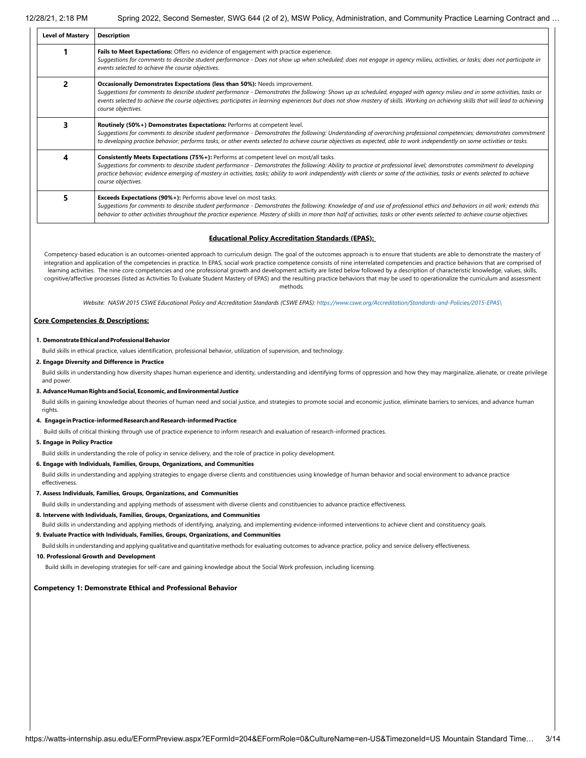| <b>Level of Mastery</b> | <b>Description</b>                                                                                                                                                                                                                                                                                                                                                                                                                                                          |
|-------------------------|-----------------------------------------------------------------------------------------------------------------------------------------------------------------------------------------------------------------------------------------------------------------------------------------------------------------------------------------------------------------------------------------------------------------------------------------------------------------------------|
|                         | Fails to Meet Expectations: Offers no evidence of engagement with practice experience.<br>Suggestions for comments to describe student performance - Does not show up when scheduled; does not engage in agency milieu, activities, or tasks; does not participate in<br>events selected to achieve the course objectives.                                                                                                                                                  |
| 2                       | <b>Occasionally Demonstrates Expectations (less than 50%):</b> Needs improvement.<br>Suggestions for comments to describe student performance - Demonstrates the following: Shows up as scheduled, engaged with agency milieu and in some activities, tasks or<br>events selected to achieve the course objectives; participates in learning experiences but does not show mastery of skills. Working on achieving skills that will lead to achieving<br>course objectives. |
| 3                       | Routinely (50%+) Demonstrates Expectations: Performs at competent level.<br>Suggestions for comments to describe student performance - Demonstrates the following: Understanding of overarching professional competencies; demonstrates commitment<br>to developing practice behavior; performs tasks, or other events selected to achieve course objectives as expected, able to work independently on some activities or tasks.                                           |
| 4                       | Consistently Meets Expectations (75%+): Performs at competent level on most/all tasks.<br>Suggestions for comments to describe student performance - Demonstrates the following: Ability to practice at professional level; demonstrates commitment to developing<br>practice behavior; evidence emerging of mastery in activities, tasks; ability to work independently with clients or some of the activities, tasks or events selected to achieve<br>course objectives.  |
| 5                       | <b>Exceeds Expectations (90%+):</b> Performs above level on most tasks.<br>Suggestions for comments to describe student performance - Demonstrates the following: Knowledge of and use of professional ethics and behaviors in all work; extends this<br>behavior to other activities throughout the practice experience. Mastery of skills in more than half of activities, tasks or other events selected to achieve course objectives.                                   |

#### **Educational Policy Accreditation Standards (EPAS):**

Competency-based education is an outcomes-oriented approach to curriculum design. The goal of the outcomes approach is to ensure that students are able to demonstrate the mastery of integration and application of the competencies in practice. In EPAS, social work practice competence consists of nine interrelated competencies and practice behaviors that are comprised of learning activities. The nine core competencies and one professional growth and development activity are listed below followed by a description of characteristic knowledge, values, skills, cognitive/affective processes (listed as Activities To Evaluate Student Mastery of EPAS) and the resulting practice behaviors that may be used to operationalize the curriculum and assessment methods*.*

Website: NASW 2015 CSWE Educational Policy and Accreditation Standards (CSWE EPAS): [https://www.cswe.org/Accreditation/Standards-and-Policies/2015-EPAS\](https://www.cswe.org/Accreditation/Standards-and-Policies/2015-EPAS/)

#### **Core Competencies & Descriptions:**

#### **1. DemonstrateEthicalandProfessionalBehavior**

Build skills in ethical practice, values identification, professional behavior, utilization of supervision, and technology.

#### **2. Engage Diversity and Difference in Practice**

Build skills in understanding how diversity shapes human experience and identity, understanding and identifying forms of oppression and how they may marginalize, alienate, or create privilege and power.

### **3. AdvanceHumanRightsandSocial,Economic,andEnvironmental Justice**

Build skills in gaining knowledge about theories of human need and social justice, and strategies to promote social and economic justice, eliminate barriers to services, and advance human rights.

#### **4. EngageinPractice-informedResearchandResearch-informedPractice**

Build skills of critical thinking through use of practice experience to inform research and evaluation of research-informed practices.

#### **5. Engage in Policy Practice**

Build skills in understanding the role of policy in service delivery, and the role of practice in policy development.

#### **6. Engage with Individuals, Families, Groups, Organizations, and Communities**

Build skills in understanding and applying strategies to engage diverse clients and constituencies using knowledge of human behavior and social environment to advance practice effectiveness.

#### **7. Assess Individuals, Families, Groups, Organizations, and Communities**

Build skills in understanding and applying methods of assessment with diverse clients and constituencies to advance practice effectiveness.

**8. Intervene with Individuals, Families, Groups, Organizations, and Communities**

Build skills in understanding and applying methods of identifying, analyzing, and implementing evidence-informed interventions to achieve client and constituency goals.

#### **9. Evaluate Practice with Individuals, Families, Groups, Organizations, and Communities**

Build skills in understanding and applying qualitative and quantitative methods for evaluating outcomes to advance practice, policy and service delivery effectiveness.

#### **10. Professional Growth and Development**

Build skills in developing strategies for self-care and gaining knowledge about the Social Work profession, including licensing.

#### **Competency 1: Demonstrate Ethical and Professional Behavior**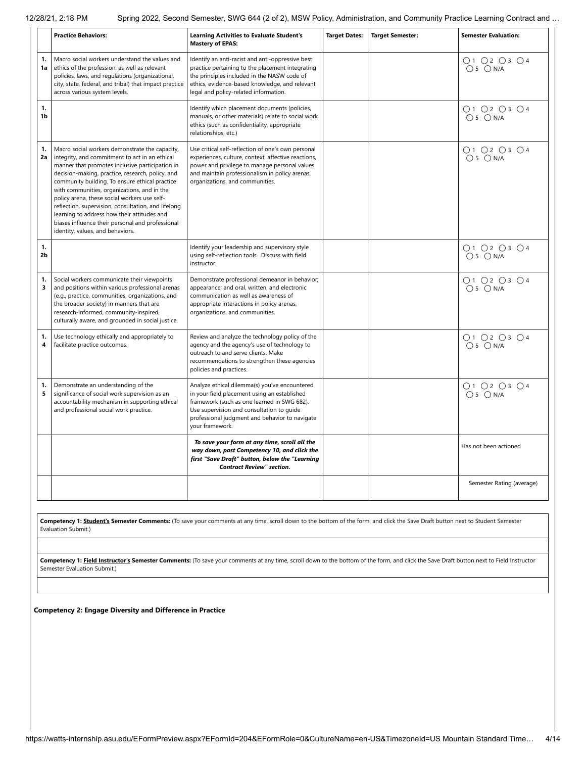|                      | <b>Practice Behaviors:</b>                                                                                                                                                                                                                                                                                                                                                                                                                                                                                                                             | <b>Learning Activities to Evaluate Student's</b><br><b>Mastery of EPAS:</b>                                                                                                                                                                                    | <b>Target Dates:</b> | <b>Target Semester:</b> | <b>Semester Evaluation:</b>                                        |
|----------------------|--------------------------------------------------------------------------------------------------------------------------------------------------------------------------------------------------------------------------------------------------------------------------------------------------------------------------------------------------------------------------------------------------------------------------------------------------------------------------------------------------------------------------------------------------------|----------------------------------------------------------------------------------------------------------------------------------------------------------------------------------------------------------------------------------------------------------------|----------------------|-------------------------|--------------------------------------------------------------------|
| 1.<br>1a             | Macro social workers understand the values and<br>ethics of the profession, as well as relevant<br>policies, laws, and regulations (organizational,<br>city, state, federal, and tribal) that impact practice<br>across various system levels.                                                                                                                                                                                                                                                                                                         | Identify an anti-racist and anti-oppressive best<br>practice pertaining to the placement integrating<br>the principles included in the NASW code of<br>ethics, evidence-based knowledge, and relevant<br>legal and policy-related information.                 |                      |                         | $\bigcirc$ 1 $\bigcirc$ 2 $\bigcirc$ 3 $\bigcirc$ 4<br>$O5$ $ON/A$ |
| 1.<br>1b             |                                                                                                                                                                                                                                                                                                                                                                                                                                                                                                                                                        | Identify which placement documents (policies,<br>manuals, or other materials) relate to social work<br>ethics (such as confidentiality, appropriate<br>relationships, etc.)                                                                                    |                      |                         | ○1 ○2 ○3 ○4<br>$O5$ $ON/A$                                         |
| 1.<br>2a             | Macro social workers demonstrate the capacity,<br>integrity, and commitment to act in an ethical<br>manner that promotes inclusive participation in<br>decision-making, practice, research, policy, and<br>community building. To ensure ethical practice<br>with communities, organizations, and in the<br>policy arena, these social workers use self-<br>reflection, supervision, consultation, and lifelong<br>learning to address how their attitudes and<br>biases influence their personal and professional<br>identity, values, and behaviors. | Use critical self-reflection of one's own personal<br>experiences, culture, context, affective reactions,<br>power and privilege to manage personal values<br>and maintain professionalism in policy arenas,<br>organizations, and communities.                |                      |                         | O1O2O3O4<br>$O5$ $ON/A$                                            |
| 1.<br>2 <sub>b</sub> |                                                                                                                                                                                                                                                                                                                                                                                                                                                                                                                                                        | Identify your leadership and supervisory style<br>using self-reflection tools. Discuss with field<br>instructor.                                                                                                                                               |                      |                         | ○1 ○2 ○3 ○4<br>$O5$ $ON/A$                                         |
| 1.<br>3              | Social workers communicate their viewpoints<br>and positions within various professional arenas<br>(e.g., practice, communities, organizations, and<br>the broader society) in manners that are<br>research-informed, community-inspired,<br>culturally aware, and grounded in social justice.                                                                                                                                                                                                                                                         | Demonstrate professional demeanor in behavior;<br>appearance; and oral, written, and electronic<br>communication as well as awareness of<br>appropriate interactions in policy arenas,<br>organizations, and communities.                                      |                      |                         | O1 O2 O3 O4<br>$O5$ $ON/A$                                         |
| 1.<br>4              | Use technology ethically and appropriately to<br>facilitate practice outcomes.                                                                                                                                                                                                                                                                                                                                                                                                                                                                         | Review and analyze the technology policy of the<br>agency and the agency's use of technology to<br>outreach to and serve clients. Make<br>recommendations to strengthen these agencies<br>policies and practices.                                              |                      |                         | O1 O2 O3 O4<br>$O5$ $ON/A$                                         |
| 1.<br>5              | Demonstrate an understanding of the<br>significance of social work supervision as an<br>accountability mechanism in supporting ethical<br>and professional social work practice.                                                                                                                                                                                                                                                                                                                                                                       | Analyze ethical dilemma(s) you've encountered<br>in your field placement using an established<br>framework (such as one learned in SWG 682).<br>Use supervision and consultation to quide<br>professional judgment and behavior to navigate<br>your framework. |                      |                         | O1 O2 O3 O4<br>$O5$ $ON/A$                                         |
|                      |                                                                                                                                                                                                                                                                                                                                                                                                                                                                                                                                                        | To save your form at any time, scroll all the<br>way down, past Competency 10, and click the<br>first "Save Draft" button, below the "Learning<br><b>Contract Review" section.</b>                                                                             |                      |                         | Has not been actioned                                              |
|                      |                                                                                                                                                                                                                                                                                                                                                                                                                                                                                                                                                        |                                                                                                                                                                                                                                                                |                      |                         | Semester Rating (average)                                          |

**Competency 1: Student's Semester Comments:** (To save your comments at any time, scroll down to the bottom of the form, and click the Save Draft button next to Student Semester Evaluation Submit.)

Competency 1: Field Instructor's Semester Comments: (To save your comments at any time, scroll down to the bottom of the form, and click the Save Draft button next to Field Instructor Semester Evaluation Submit.)

**Competency 2: Engage Diversity and Difference in Practice**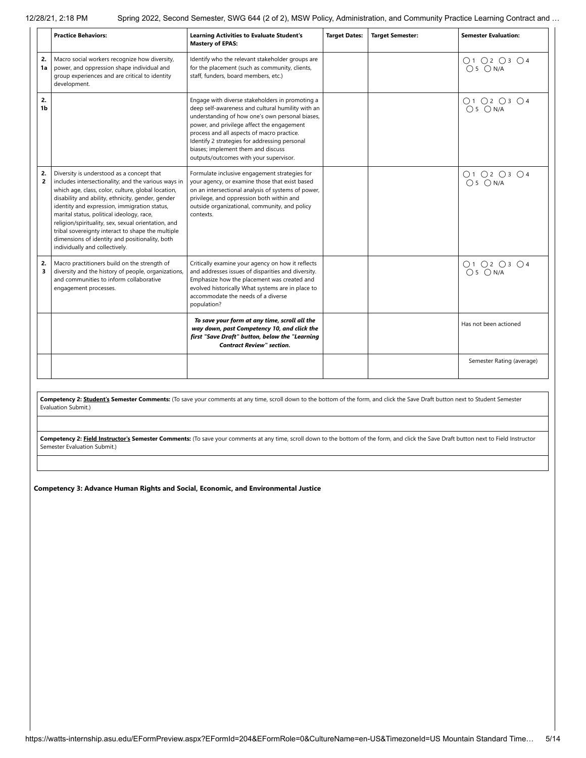|                      | <b>Practice Behaviors:</b>                                                                                                                                                                                                                                                                                                                                                                                                                                                                               | <b>Learning Activities to Evaluate Student's</b><br><b>Mastery of EPAS:</b>                                                                                                                                                                                                                                                                                                          | <b>Target Dates:</b> | <b>Target Semester:</b> | <b>Semester Evaluation:</b> |
|----------------------|----------------------------------------------------------------------------------------------------------------------------------------------------------------------------------------------------------------------------------------------------------------------------------------------------------------------------------------------------------------------------------------------------------------------------------------------------------------------------------------------------------|--------------------------------------------------------------------------------------------------------------------------------------------------------------------------------------------------------------------------------------------------------------------------------------------------------------------------------------------------------------------------------------|----------------------|-------------------------|-----------------------------|
| 2.<br>1a             | Macro social workers recognize how diversity,<br>power, and oppression shape individual and<br>group experiences and are critical to identity<br>development.                                                                                                                                                                                                                                                                                                                                            | Identify who the relevant stakeholder groups are<br>for the placement (such as community, clients,<br>staff, funders, board members, etc.)                                                                                                                                                                                                                                           |                      |                         | O1 O2 O3 O4<br>$O5$ $ON/A$  |
| 2.<br>1b             |                                                                                                                                                                                                                                                                                                                                                                                                                                                                                                          | Engage with diverse stakeholders in promoting a<br>deep self-awareness and cultural humility with an<br>understanding of how one's own personal biases,<br>power, and privilege affect the engagement<br>process and all aspects of macro practice.<br>Identify 2 strategies for addressing personal<br>biases; implement them and discuss<br>outputs/outcomes with your supervisor. |                      |                         | O1 O2 O3 O4<br>$O5$ $ON/A$  |
| 2.<br>$\overline{2}$ | Diversity is understood as a concept that<br>includes intersectionality; and the various ways in<br>which age, class, color, culture, global location,<br>disability and ability, ethnicity, gender, gender<br>identity and expression, immigration status,<br>marital status, political ideology, race,<br>religion/spirituality, sex, sexual orientation, and<br>tribal sovereignty interact to shape the multiple<br>dimensions of identity and positionality, both<br>individually and collectively. | Formulate inclusive engagement strategies for<br>your agency, or examine those that exist based<br>on an intersectional analysis of systems of power,<br>privilege, and oppression both within and<br>outside organizational, community, and policy<br>contexts.                                                                                                                     |                      |                         | O1 O2 O3 O4<br>$O5$ $ON/A$  |
| 2.<br>3              | Macro practitioners build on the strength of<br>diversity and the history of people, organizations,<br>and communities to inform collaborative<br>engagement processes.                                                                                                                                                                                                                                                                                                                                  | Critically examine your agency on how it reflects<br>and addresses issues of disparities and diversity.<br>Emphasize how the placement was created and<br>evolved historically What systems are in place to<br>accommodate the needs of a diverse<br>population?                                                                                                                     |                      |                         | O1O2O3O4<br>$O5$ $ON/A$     |
|                      |                                                                                                                                                                                                                                                                                                                                                                                                                                                                                                          | To save your form at any time, scroll all the<br>way down, past Competency 10, and click the<br>first "Save Draft" button, below the "Learning<br><b>Contract Review" section.</b>                                                                                                                                                                                                   |                      |                         | Has not been actioned       |
|                      |                                                                                                                                                                                                                                                                                                                                                                                                                                                                                                          |                                                                                                                                                                                                                                                                                                                                                                                      |                      |                         | Semester Rating (average)   |

Competency 2: Student's Semester Comments: (To save your comments at any time, scroll down to the bottom of the form, and click the Save Draft button next to Student Semester Evaluation Submit.)

Competency 2: Field Instructor's Semester Comments: (To save your comments at any time, scroll down to the bottom of the form, and click the Save Draft button next to Field Instructor Semester Evaluation Submit.)

**Competency 3: Advance Human Rights and Social, Economic, and Environmental Justice**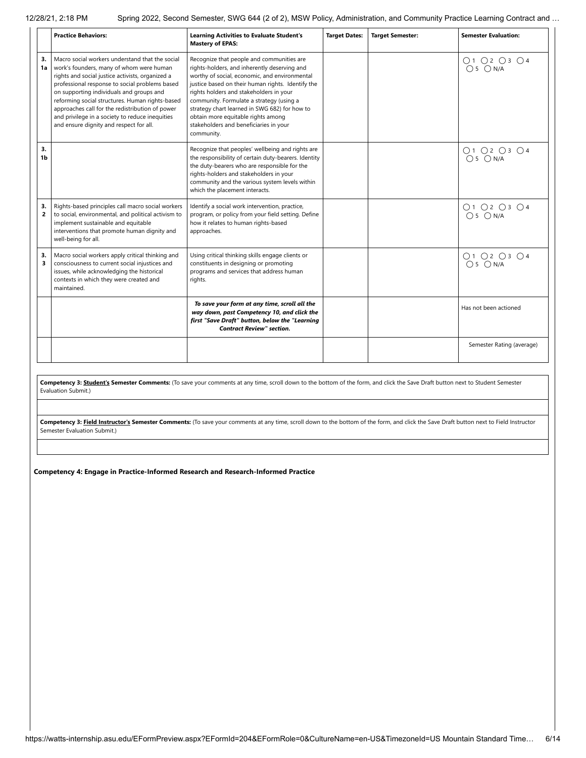|          | <b>Practice Behaviors:</b>                                                                                                                                                                                                                                                                                                                                                                                                                        | <b>Learning Activities to Evaluate Student's</b><br><b>Mastery of EPAS:</b>                                                                                                                                                                                                                                                                                                                                                           | <b>Target Dates:</b> | <b>Target Semester:</b> | <b>Semester Evaluation:</b> |
|----------|---------------------------------------------------------------------------------------------------------------------------------------------------------------------------------------------------------------------------------------------------------------------------------------------------------------------------------------------------------------------------------------------------------------------------------------------------|---------------------------------------------------------------------------------------------------------------------------------------------------------------------------------------------------------------------------------------------------------------------------------------------------------------------------------------------------------------------------------------------------------------------------------------|----------------------|-------------------------|-----------------------------|
| 3.<br>1a | Macro social workers understand that the social<br>work's founders, many of whom were human<br>rights and social justice activists, organized a<br>professional response to social problems based<br>on supporting individuals and groups and<br>reforming social structures. Human rights-based<br>approaches call for the redistribution of power<br>and privilege in a society to reduce inequities<br>and ensure dignity and respect for all. | Recognize that people and communities are<br>rights-holders, and inherently deserving and<br>worthy of social, economic, and environmental<br>justice based on their human rights. Identify the<br>rights holders and stakeholders in your<br>community. Formulate a strategy (using a<br>strategy chart learned in SWG 682) for how to<br>obtain more equitable rights among<br>stakeholders and beneficiaries in your<br>community. |                      |                         | 01 02 03 04<br>05 0 N/A     |
| 3.<br>1b |                                                                                                                                                                                                                                                                                                                                                                                                                                                   | Recognize that peoples' wellbeing and rights are<br>the responsibility of certain duty-bearers. Identity<br>the duty-bearers who are responsible for the<br>rights-holders and stakeholders in your<br>community and the various system levels within<br>which the placement interacts.                                                                                                                                               |                      |                         | O1 O2 O3 O4<br>$O5$ $ON/A$  |
| 3.<br>2  | Rights-based principles call macro social workers<br>to social, environmental, and political activism to<br>implement sustainable and equitable<br>interventions that promote human dignity and<br>well-being for all.                                                                                                                                                                                                                            | Identify a social work intervention, practice,<br>program, or policy from your field setting. Define<br>how it relates to human rights-based<br>approaches.                                                                                                                                                                                                                                                                           |                      |                         | O1 O2 O3 O4<br>$O5$ $ON/A$  |
| 3.<br>3  | Macro social workers apply critical thinking and<br>consciousness to current social injustices and<br>issues, while acknowledging the historical<br>contexts in which they were created and<br>maintained.                                                                                                                                                                                                                                        | Using critical thinking skills engage clients or<br>constituents in designing or promoting<br>programs and services that address human<br>rights.                                                                                                                                                                                                                                                                                     |                      |                         | O1 O2 O3 O4<br>$O5$ $ON/A$  |
|          |                                                                                                                                                                                                                                                                                                                                                                                                                                                   | To save your form at any time, scroll all the<br>way down, past Competency 10, and click the<br>first "Save Draft" button, below the "Learning<br><b>Contract Review" section.</b>                                                                                                                                                                                                                                                    |                      |                         | Has not been actioned       |
|          |                                                                                                                                                                                                                                                                                                                                                                                                                                                   |                                                                                                                                                                                                                                                                                                                                                                                                                                       |                      |                         | Semester Rating (average)   |

Competency 3: **Student's Semester Comments:** (To save your comments at any time, scroll down to the bottom of the form, and click the Save Draft button next to Student Semester Evaluation Submit.)

Competency 3: Field Instructor's Semester Comments: (To save your comments at any time, scroll down to the bottom of the form, and click the Save Draft button next to Field Instructor Semester Evaluation Submit.)

**Competency 4: Engage in Practice-Informed Research and Research-Informed Practice**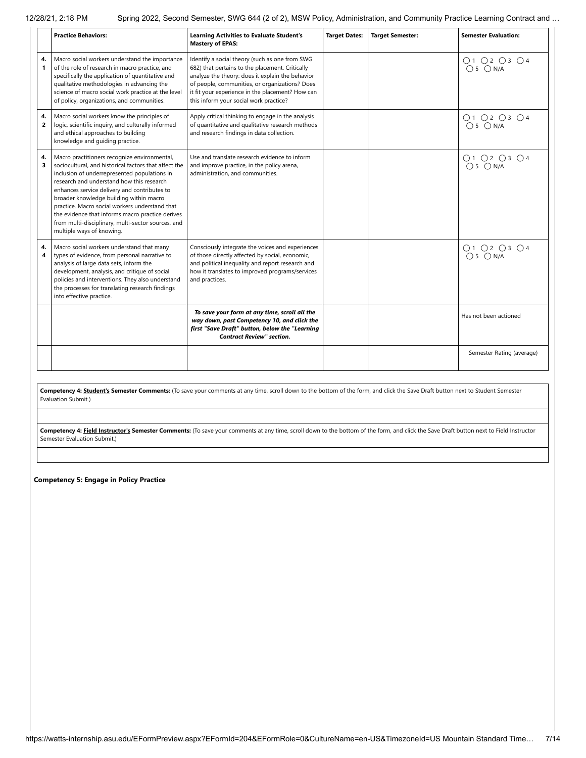|                      | <b>Practice Behaviors:</b>                                                                                                                                                                                                                                                                                                                                                                                                                                                             | <b>Learning Activities to Evaluate Student's</b><br><b>Mastery of EPAS:</b>                                                                                                                                                                                                                           | <b>Target Dates:</b> | <b>Target Semester:</b> | <b>Semester Evaluation:</b> |
|----------------------|----------------------------------------------------------------------------------------------------------------------------------------------------------------------------------------------------------------------------------------------------------------------------------------------------------------------------------------------------------------------------------------------------------------------------------------------------------------------------------------|-------------------------------------------------------------------------------------------------------------------------------------------------------------------------------------------------------------------------------------------------------------------------------------------------------|----------------------|-------------------------|-----------------------------|
| 4.<br>1              | Macro social workers understand the importance<br>of the role of research in macro practice, and<br>specifically the application of quantitative and<br>qualitative methodologies in advancing the<br>science of macro social work practice at the level<br>of policy, organizations, and communities.                                                                                                                                                                                 | Identify a social theory (such as one from SWG<br>682) that pertains to the placement. Critically<br>analyze the theory: does it explain the behavior<br>of people, communities, or organizations? Does<br>it fit your experience in the placement? How can<br>this inform your social work practice? |                      |                         | O1 O2 O3 O4<br>$O5$ $ON/A$  |
| 4.<br>$\overline{2}$ | Macro social workers know the principles of<br>logic, scientific inquiry, and culturally informed<br>and ethical approaches to building<br>knowledge and guiding practice.                                                                                                                                                                                                                                                                                                             | Apply critical thinking to engage in the analysis<br>of quantitative and qualitative research methods<br>and research findings in data collection.                                                                                                                                                    |                      |                         | O1 O2 O3 O4<br>$O5$ $ON/A$  |
| 4.<br>3              | Macro practitioners recognize environmental,<br>sociocultural, and historical factors that affect the<br>inclusion of underrepresented populations in<br>research and understand how this research<br>enhances service delivery and contributes to<br>broader knowledge building within macro<br>practice. Macro social workers understand that<br>the evidence that informs macro practice derives<br>from multi-disciplinary, multi-sector sources, and<br>multiple ways of knowing. | Use and translate research evidence to inform<br>and improve practice, in the policy arena,<br>administration, and communities.                                                                                                                                                                       |                      |                         | 01 02 03 04<br>05 0 N/A     |
| 4.<br>4              | Macro social workers understand that many<br>types of evidence, from personal narrative to<br>analysis of large data sets, inform the<br>development, analysis, and critique of social<br>policies and interventions. They also understand<br>the processes for translating research findings<br>into effective practice.                                                                                                                                                              | Consciously integrate the voices and experiences<br>of those directly affected by social, economic,<br>and political inequality and report research and<br>how it translates to improved programs/services<br>and practices.                                                                          |                      |                         | O1 O2 O3 O4<br>$O5$ $ON/A$  |
|                      |                                                                                                                                                                                                                                                                                                                                                                                                                                                                                        | To save your form at any time, scroll all the<br>way down, past Competency 10, and click the<br>first "Save Draft" button, below the "Learning<br><b>Contract Review" section.</b>                                                                                                                    |                      |                         | Has not been actioned       |
|                      |                                                                                                                                                                                                                                                                                                                                                                                                                                                                                        |                                                                                                                                                                                                                                                                                                       |                      |                         | Semester Rating (average)   |

Competency 4: **Student's Semester Comments:** (To save your comments at any time, scroll down to the bottom of the form, and click the Save Draft button next to Student Semester Evaluation Submit.)

Competency 4: **Field Instructor's Semester Comments:** (To save your comments at any time, scroll down to the bottom of the form, and click the Save Draft button next to Field Instructor Semester Evaluation Submit.)

**Competency 5: Engage in Policy Practice**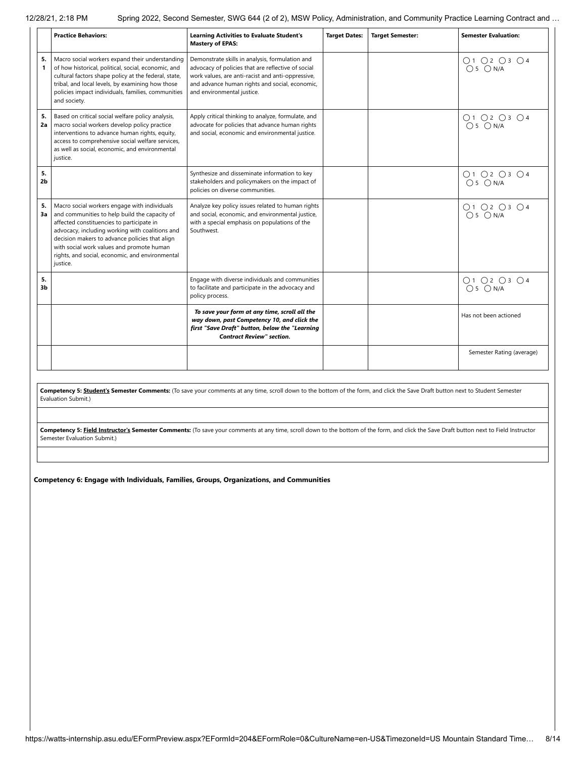|                      | <b>Practice Behaviors:</b>                                                                                                                                                                                                                                                                                                                                  | <b>Learning Activities to Evaluate Student's</b><br><b>Mastery of EPAS:</b>                                                                                                                                                                | <b>Target Dates:</b> | <b>Target Semester:</b> | <b>Semester Evaluation:</b> |
|----------------------|-------------------------------------------------------------------------------------------------------------------------------------------------------------------------------------------------------------------------------------------------------------------------------------------------------------------------------------------------------------|--------------------------------------------------------------------------------------------------------------------------------------------------------------------------------------------------------------------------------------------|----------------------|-------------------------|-----------------------------|
| 5.<br>1              | Macro social workers expand their understanding<br>of how historical, political, social, economic, and<br>cultural factors shape policy at the federal, state,<br>tribal, and local levels, by examining how those<br>policies impact individuals, families, communities<br>and society.                                                                    | Demonstrate skills in analysis, formulation and<br>advocacy of policies that are reflective of social<br>work values, are anti-racist and anti-oppressive,<br>and advance human rights and social, economic,<br>and environmental justice. |                      |                         | O1 O2 O3 O4<br>$O5$ $ON/A$  |
| 5.<br>2a             | Based on critical social welfare policy analysis,<br>macro social workers develop policy practice<br>interventions to advance human rights, equity,<br>access to comprehensive social welfare services,<br>as well as social, economic, and environmental<br>justice.                                                                                       | Apply critical thinking to analyze, formulate, and<br>advocate for policies that advance human rights<br>and social, economic and environmental justice.                                                                                   |                      |                         | O1 O2 O3 O4<br>$O5$ $ON/A$  |
| 5.<br>2 <sub>b</sub> |                                                                                                                                                                                                                                                                                                                                                             | Synthesize and disseminate information to key<br>stakeholders and policymakers on the impact of<br>policies on diverse communities.                                                                                                        |                      |                         | O1 O2 O3 O4<br>$O5$ $ON/A$  |
| 5.<br>3a             | Macro social workers engage with individuals<br>and communities to help build the capacity of<br>affected constituencies to participate in<br>advocacy, including working with coalitions and<br>decision makers to advance policies that align<br>with social work values and promote human<br>rights, and social, economic, and environmental<br>justice. | Analyze key policy issues related to human rights<br>and social, economic, and environmental justice,<br>with a special emphasis on populations of the<br>Southwest.                                                                       |                      |                         | O1 O2 O3 O4<br>$O5$ $ON/A$  |
| 5.<br>3b             |                                                                                                                                                                                                                                                                                                                                                             | Engage with diverse individuals and communities<br>to facilitate and participate in the advocacy and<br>policy process.                                                                                                                    |                      |                         | O1 O2 O3 O4<br>$O5$ $ON/A$  |
|                      |                                                                                                                                                                                                                                                                                                                                                             | To save your form at any time, scroll all the<br>way down, past Competency 10, and click the<br>first "Save Draft" button, below the "Learning<br><b>Contract Review" section.</b>                                                         |                      |                         | Has not been actioned       |
|                      |                                                                                                                                                                                                                                                                                                                                                             |                                                                                                                                                                                                                                            |                      |                         | Semester Rating (average)   |

**Competency 5: Student's Semester Comments:** (To save your comments at any time, scroll down to the bottom of the form, and click the Save Draft button next to Student Semester Evaluation Submit.)

Competency 5: Field Instructor's Semester Comments: (To save your comments at any time, scroll down to the bottom of the form, and click the Save Draft button next to Field Instructor Semester Evaluation Submit.)

**Competency 6: Engage with Individuals, Families, Groups, Organizations, and Communities**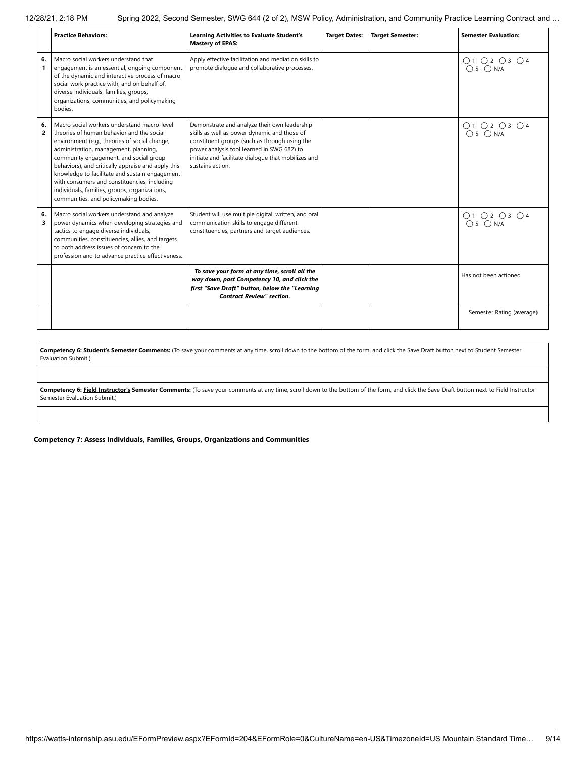|                      | <b>Practice Behaviors:</b>                                                                                                                                                                                                                                                                                                                                                                                                                                                     | <b>Learning Activities to Evaluate Student's</b><br><b>Mastery of EPAS:</b>                                                                                                                                                                                            | <b>Target Dates:</b> | <b>Target Semester:</b> | <b>Semester Evaluation:</b> |
|----------------------|--------------------------------------------------------------------------------------------------------------------------------------------------------------------------------------------------------------------------------------------------------------------------------------------------------------------------------------------------------------------------------------------------------------------------------------------------------------------------------|------------------------------------------------------------------------------------------------------------------------------------------------------------------------------------------------------------------------------------------------------------------------|----------------------|-------------------------|-----------------------------|
| 6.<br>1              | Macro social workers understand that<br>engagement is an essential, ongoing component<br>of the dynamic and interactive process of macro<br>social work practice with, and on behalf of,<br>diverse individuals, families, groups,<br>organizations, communities, and policymaking<br>bodies.                                                                                                                                                                                  | Apply effective facilitation and mediation skills to<br>promote dialogue and collaborative processes.                                                                                                                                                                  |                      |                         | O1 O2 O3 O4<br>$O5$ $ON/A$  |
| 6.<br>$\overline{2}$ | Macro social workers understand macro-level<br>theories of human behavior and the social<br>environment (e.g., theories of social change,<br>administration, management, planning,<br>community engagement, and social group<br>behaviors), and critically appraise and apply this<br>knowledge to facilitate and sustain engagement<br>with consumers and constituencies, including<br>individuals, families, groups, organizations,<br>communities, and policymaking bodies. | Demonstrate and analyze their own leadership<br>skills as well as power dynamic and those of<br>constituent groups (such as through using the<br>power analysis tool learned in SWG 682) to<br>initiate and facilitate dialogue that mobilizes and<br>sustains action. |                      |                         | 01 02 03 04<br>05 0 N/A     |
| 6.<br>3              | Macro social workers understand and analyze<br>power dynamics when developing strategies and<br>tactics to engage diverse individuals,<br>communities, constituencies, allies, and targets<br>to both address issues of concern to the<br>profession and to advance practice effectiveness.                                                                                                                                                                                    | Student will use multiple digital, written, and oral<br>communication skills to engage different<br>constituencies, partners and target audiences.                                                                                                                     |                      |                         | 01 02 03 04<br>05 0 N/A     |
|                      |                                                                                                                                                                                                                                                                                                                                                                                                                                                                                | To save your form at any time, scroll all the<br>way down, past Competency 10, and click the<br>first "Save Draft" button, below the "Learning<br><b>Contract Review" section.</b>                                                                                     |                      |                         | Has not been actioned       |
|                      |                                                                                                                                                                                                                                                                                                                                                                                                                                                                                |                                                                                                                                                                                                                                                                        |                      |                         | Semester Rating (average)   |
|                      |                                                                                                                                                                                                                                                                                                                                                                                                                                                                                | Competency 6: Student's Semester Comments: (To save your comments at any time, scroll down to the bottom of the form, and click the Save Draft button next to Student Semester                                                                                         |                      |                         |                             |

Evaluation Submit.)

**Competency 6: Field Instructor's Semester Comments:** (To save your comments at any time, scroll down to the bottom of the form, and click the Save Draft button next to Field Instructor Semester Evaluation Submit.)

**Competency 7: Assess Individuals, Families, Groups, Organizations and Communities**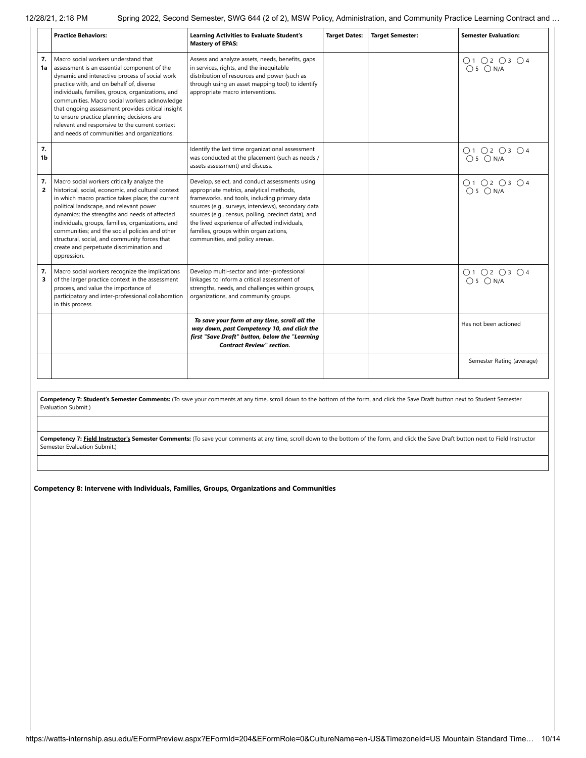|                      | <b>Practice Behaviors:</b>                                                                                                                                                                                                                                                                                                                                                                                                                                                                 | <b>Learning Activities to Evaluate Student's</b><br><b>Mastery of EPAS:</b>                                                                                                                                                                                                                                                                                                             | <b>Target Dates:</b> | <b>Target Semester:</b> | <b>Semester Evaluation:</b> |
|----------------------|--------------------------------------------------------------------------------------------------------------------------------------------------------------------------------------------------------------------------------------------------------------------------------------------------------------------------------------------------------------------------------------------------------------------------------------------------------------------------------------------|-----------------------------------------------------------------------------------------------------------------------------------------------------------------------------------------------------------------------------------------------------------------------------------------------------------------------------------------------------------------------------------------|----------------------|-------------------------|-----------------------------|
| 7.<br>1a             | Macro social workers understand that<br>assessment is an essential component of the<br>dynamic and interactive process of social work<br>practice with, and on behalf of, diverse<br>individuals, families, groups, organizations, and<br>communities. Macro social workers acknowledge<br>that ongoing assessment provides critical insight<br>to ensure practice planning decisions are<br>relevant and responsive to the current context<br>and needs of communities and organizations. | Assess and analyze assets, needs, benefits, gaps<br>in services, rights, and the inequitable<br>distribution of resources and power (such as<br>through using an asset mapping tool) to identify<br>appropriate macro interventions.                                                                                                                                                    |                      |                         | O1 O2 O3 O4<br>$O5$ $ON/A$  |
| 7.<br>1b             |                                                                                                                                                                                                                                                                                                                                                                                                                                                                                            | Identify the last time organizational assessment<br>was conducted at the placement (such as needs /<br>assets assessment) and discuss.                                                                                                                                                                                                                                                  |                      |                         | O1O2O3O4<br>$O5$ $ON/A$     |
| 7.<br>$\overline{2}$ | Macro social workers critically analyze the<br>historical, social, economic, and cultural context<br>in which macro practice takes place; the current<br>political landscape, and relevant power<br>dynamics; the strengths and needs of affected<br>individuals, groups, families, organizations, and<br>communities; and the social policies and other<br>structural, social, and community forces that<br>create and perpetuate discrimination and<br>oppression.                       | Develop, select, and conduct assessments using<br>appropriate metrics, analytical methods,<br>frameworks, and tools, including primary data<br>sources (e.g., surveys, interviews), secondary data<br>sources (e.g., census, polling, precinct data), and<br>the lived experience of affected individuals,<br>families, groups within organizations,<br>communities, and policy arenas. |                      |                         | O1 O2 O3 O4<br>$O5$ $ON/A$  |
| 7.<br>3              | Macro social workers recognize the implications<br>of the larger practice context in the assessment<br>process, and value the importance of<br>participatory and inter-professional collaboration<br>in this process.                                                                                                                                                                                                                                                                      | Develop multi-sector and inter-professional<br>linkages to inform a critical assessment of<br>strengths, needs, and challenges within groups,<br>organizations, and community groups.                                                                                                                                                                                                   |                      |                         | O1O2O3O4<br>$O5$ $ON/A$     |
|                      |                                                                                                                                                                                                                                                                                                                                                                                                                                                                                            | To save your form at any time, scroll all the<br>way down, past Competency 10, and click the<br>first "Save Draft" button, below the "Learning<br><b>Contract Review" section.</b>                                                                                                                                                                                                      |                      |                         | Has not been actioned       |
|                      |                                                                                                                                                                                                                                                                                                                                                                                                                                                                                            |                                                                                                                                                                                                                                                                                                                                                                                         |                      |                         | Semester Rating (average)   |

**Competency 7: Student's Semester Comments:** (To save your comments at any time, scroll down to the bottom of the form, and click the Save Draft button next to Student Semester Evaluation Submit.)

Competency 7: Field Instructor's Semester Comments: (To save your comments at any time, scroll down to the bottom of the form, and click the Save Draft button next to Field Instructor Semester Evaluation Submit.)

**Competency 8: Intervene with Individuals, Families, Groups, Organizations and Communities**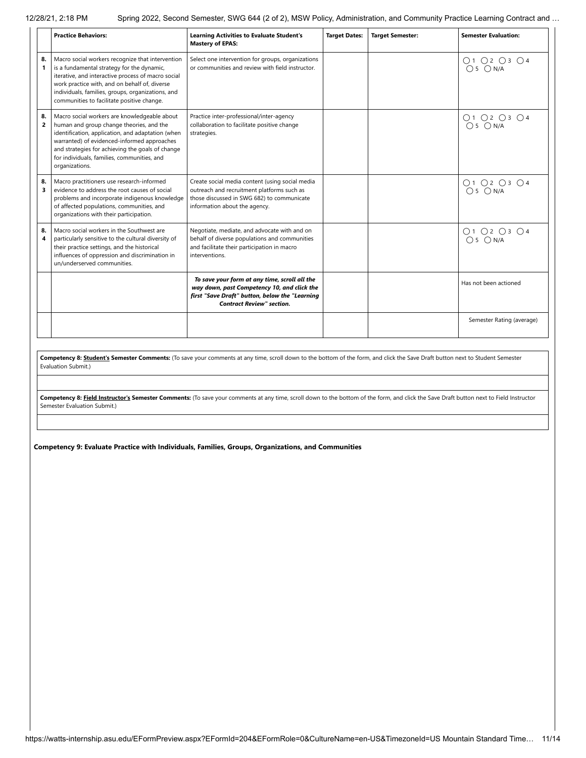|                      | <b>Practice Behaviors:</b>                                                                                                                                                                                                                                                                                        | <b>Learning Activities to Evaluate Student's</b><br><b>Mastery of EPAS:</b>                                                                                                        | <b>Target Dates:</b> | <b>Target Semester:</b> | <b>Semester Evaluation:</b> |
|----------------------|-------------------------------------------------------------------------------------------------------------------------------------------------------------------------------------------------------------------------------------------------------------------------------------------------------------------|------------------------------------------------------------------------------------------------------------------------------------------------------------------------------------|----------------------|-------------------------|-----------------------------|
| 8.<br>1              | Macro social workers recognize that intervention<br>is a fundamental strategy for the dynamic,<br>iterative, and interactive process of macro social<br>work practice with, and on behalf of, diverse<br>individuals, families, groups, organizations, and<br>communities to facilitate positive change.          | Select one intervention for groups, organizations<br>or communities and review with field instructor.                                                                              |                      |                         | 01 02 03 04<br>05 0 N/A     |
| 8.<br>$\overline{2}$ | Macro social workers are knowledgeable about<br>human and group change theories, and the<br>identification, application, and adaptation (when<br>warranted) of evidenced-informed approaches<br>and strategies for achieving the goals of change<br>for individuals, families, communities, and<br>organizations. | Practice inter-professional/inter-agency<br>collaboration to facilitate positive change<br>strategies.                                                                             |                      |                         | O1 O2 O3 O4<br>$O5$ $ON/A$  |
| 8.<br>3              | Macro practitioners use research-informed<br>evidence to address the root causes of social<br>problems and incorporate indigenous knowledge<br>of affected populations, communities, and<br>organizations with their participation.                                                                               | Create social media content (using social media<br>outreach and recruitment platforms such as<br>those discussed in SWG 682) to communicate<br>information about the agency.       |                      |                         | O1 O2 O3 O4<br>$O 5$ $ON/A$ |
| 8.<br>4              | Macro social workers in the Southwest are<br>particularly sensitive to the cultural diversity of<br>their practice settings, and the historical<br>influences of oppression and discrimination in<br>un/underserved communities.                                                                                  | Negotiate, mediate, and advocate with and on<br>behalf of diverse populations and communities<br>and facilitate their participation in macro<br>interventions.                     |                      |                         | 01 02 03 04<br>05 0 N/A     |
|                      |                                                                                                                                                                                                                                                                                                                   | To save your form at any time, scroll all the<br>way down, past Competency 10, and click the<br>first "Save Draft" button, below the "Learning<br><b>Contract Review" section.</b> |                      |                         | Has not been actioned       |
|                      |                                                                                                                                                                                                                                                                                                                   |                                                                                                                                                                                    |                      |                         | Semester Rating (average)   |

**Competency 8: Student's Semester Comments:** (To save your comments at any time, scroll down to the bottom of the form, and click the Save Draft button next to Student Semester Evaluation Submit.)

Competency 8: **Field Instructor's Semester Comments:** (To save your comments at any time, scroll down to the bottom of the form, and click the Save Draft button next to Field Instructor Semester Evaluation Submit.)

**Competency 9: Evaluate Practice with Individuals, Families, Groups, Organizations, and Communities**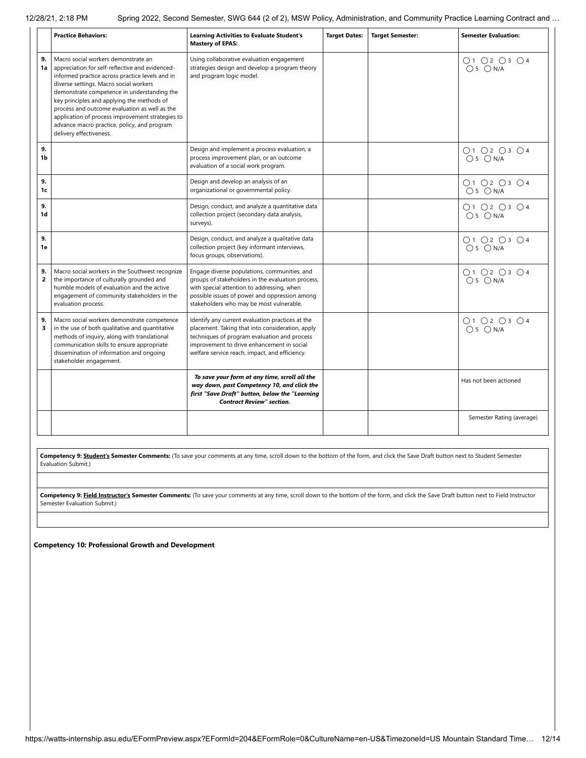|                    | <b>Practice Behaviors:</b>                                                                                                                                                                                                                                                                                                                                                                                                                                      | <b>Learning Activities to Evaluate Student's</b><br><b>Mastery of EPAS:</b>                                                                                                                                                                          | <b>Target Dates:</b> | <b>Target Semester:</b> | <b>Semester Evaluation:</b>                                    |
|--------------------|-----------------------------------------------------------------------------------------------------------------------------------------------------------------------------------------------------------------------------------------------------------------------------------------------------------------------------------------------------------------------------------------------------------------------------------------------------------------|------------------------------------------------------------------------------------------------------------------------------------------------------------------------------------------------------------------------------------------------------|----------------------|-------------------------|----------------------------------------------------------------|
| 9.<br>1a           | Macro social workers demonstrate an<br>appreciation for self-reflective and evidenced-<br>informed practice across practice levels and in<br>diverse settings. Macro social workers<br>demonstrate competence in understanding the<br>key principles and applying the methods of<br>process and outcome evaluation as well as the<br>application of process improvement strategies to<br>advance macro practice, policy, and program<br>delivery effectiveness. | Using collaborative evaluation engagement<br>strategies design and develop a program theory<br>and program logic model.                                                                                                                              |                      |                         | O1 O2 O3 O4<br>$O5$ $ON/A$                                     |
| 9.<br>1b           |                                                                                                                                                                                                                                                                                                                                                                                                                                                                 | Design and implement a process evaluation, a<br>process improvement plan, or an outcome<br>evaluation of a social work program.                                                                                                                      |                      |                         | O1 O2 O3 O4<br>$O5$ $ON/A$                                     |
| 9.<br>1c           |                                                                                                                                                                                                                                                                                                                                                                                                                                                                 | Design and develop an analysis of an<br>organizational or governmental policy.                                                                                                                                                                       |                      |                         | O1 O2 O3 O4<br>$O5$ $ON/A$                                     |
| 9.<br>1d           |                                                                                                                                                                                                                                                                                                                                                                                                                                                                 | Design, conduct, and analyze a quantitative data<br>collection project (secondary data analysis,<br>surveys).                                                                                                                                        |                      |                         | O1 O2 O3 O4<br>$O5$ $ON/A$                                     |
| 9.<br>1e           |                                                                                                                                                                                                                                                                                                                                                                                                                                                                 | Design, conduct, and analyze a qualitative data<br>collection project (key informant interviews,<br>focus groups, observations).                                                                                                                     |                      |                         | $\bigcap$ 1 $\bigcap$ 2 $\bigcap$ 3 $\bigcap$ 4<br>$O5$ $ON/A$ |
| 9.<br>$\mathbf{z}$ | Macro social workers in the Southwest recognize<br>the importance of culturally grounded and<br>humble models of evaluation and the active<br>engagement of community stakeholders in the<br>evaluation process.                                                                                                                                                                                                                                                | Engage diverse populations, communities, and<br>groups of stakeholders in the evaluation process,<br>with special attention to addressing, when<br>possible issues of power and oppression among<br>stakeholders who may be most vulnerable.         |                      |                         | O1 O2 O3 O4<br>$O5$ $ON/A$                                     |
| 9.<br>3            | Macro social workers demonstrate competence<br>in the use of both qualitative and quantitative<br>methods of inquiry, along with translational<br>communication skills to ensure appropriate<br>dissemination of information and ongoing<br>stakeholder engagement.                                                                                                                                                                                             | Identify any current evaluation practices at the<br>placement. Taking that into consideration, apply<br>techniques of program evaluation and process<br>improvement to drive enhancement in social<br>welfare service reach, impact, and efficiency. |                      |                         | O1 O2 O3 O4<br>$O5$ $ON/A$                                     |
|                    |                                                                                                                                                                                                                                                                                                                                                                                                                                                                 | To save your form at any time, scroll all the<br>way down, past Competency 10, and click the<br>first "Save Draft" button, below the "Learning<br><b>Contract Review" section.</b>                                                                   |                      |                         | Has not been actioned                                          |
|                    |                                                                                                                                                                                                                                                                                                                                                                                                                                                                 |                                                                                                                                                                                                                                                      |                      |                         | Semester Rating (average)                                      |

**Competency 9: Student's Semester Comments:** (To save your comments at any time, scroll down to the bottom of the form, and click the Save Draft button next to Student Semester Evaluation Submit.)

Competency 9: Field Instructor's Semester Comments: (To save your comments at any time, scroll down to the bottom of the form, and click the Save Draft button next to Field Instructor Semester Evaluation Submit.)

**Competency 10: Professional Growth and Development**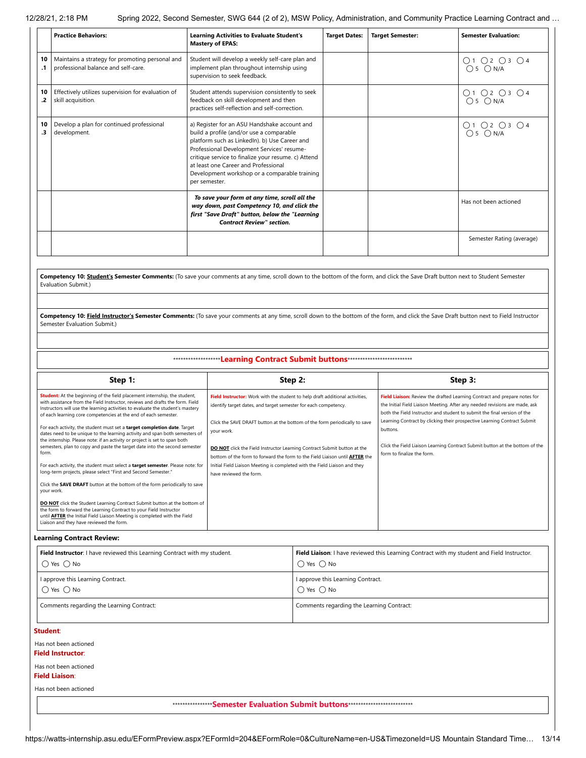|                 | <b>Practice Behaviors:</b>                                                             | <b>Learning Activities to Evaluate Student's</b><br><b>Mastery of EPAS:</b>                                                                                                                                                                                                                                                                              | <b>Target Dates:</b> | <b>Target Semester:</b> | <b>Semester Evaluation:</b>                                        |
|-----------------|----------------------------------------------------------------------------------------|----------------------------------------------------------------------------------------------------------------------------------------------------------------------------------------------------------------------------------------------------------------------------------------------------------------------------------------------------------|----------------------|-------------------------|--------------------------------------------------------------------|
| 10<br>$\cdot$ 1 | Maintains a strategy for promoting personal and<br>professional balance and self-care. | Student will develop a weekly self-care plan and<br>implement plan throughout internship using<br>supervision to seek feedback.                                                                                                                                                                                                                          |                      |                         | O1O2O3O4<br>$O5$ $ON/A$                                            |
| 10<br>.2        | Effectively utilizes supervision for evaluation of<br>skill acquisition.               | Student attends supervision consistently to seek<br>feedback on skill development and then<br>practices self-reflection and self-correction.                                                                                                                                                                                                             |                      |                         | $\bigcirc$ 1 $\bigcirc$ 2 $\bigcirc$ 3 $\bigcirc$ 4<br>$O5$ $ON/A$ |
| 10<br>.3        | Develop a plan for continued professional<br>development.                              | a) Register for an ASU Handshake account and<br>build a profile (and/or use a comparable<br>platform such as LinkedIn). b) Use Career and<br>Professional Development Services' resume-<br>critique service to finalize your resume. c) Attend<br>at least one Career and Professional<br>Development workshop or a comparable training<br>per semester. |                      |                         | O1 O2 O3 O4<br>$O5$ $ON/A$                                         |
|                 |                                                                                        | To save your form at any time, scroll all the<br>way down, past Competency 10, and click the<br>first "Save Draft" button, below the "Learning<br><b>Contract Review" section.</b>                                                                                                                                                                       |                      |                         | Has not been actioned                                              |
|                 |                                                                                        |                                                                                                                                                                                                                                                                                                                                                          |                      |                         | Semester Rating (average)                                          |
|                 |                                                                                        |                                                                                                                                                                                                                                                                                                                                                          |                      |                         |                                                                    |

**Competency 10: Student's Semester Comments:** (To save your comments at any time, scroll down to the bottom of the form, and click the Save Draft button next to Student Semester Evaluation Submit.)

Competency 10: Field Instructor's Semester Comments: (To save your comments at any time, scroll down to the bottom of the form, and click the Save Draft button next to Field Instructor Semester Evaluation Submit.)

\*\*\*\*\*\*\*\*\*\*\*\*\*\*\*\*\*\*\***Learning Contract Submit buttons**\*\*\*\*\*\*\*\*\*\*\*\*\*\*\*\*\*\*\*\*\*\*\*\*\*\*

| Step 1:                                                                                                                                                                                                                                                                                                                                                                                                                                                                                                                                                                                                                                                                                                                                                                                                                                                                                                                                                                                                                                                                                                                                                                            | Step 2:                                                                                                                                                                                                                                                                                                                                                                                                                                                                                                                | Step 3:                                                                                                                                                                                                                                                                                                                                                                                                                                    |
|------------------------------------------------------------------------------------------------------------------------------------------------------------------------------------------------------------------------------------------------------------------------------------------------------------------------------------------------------------------------------------------------------------------------------------------------------------------------------------------------------------------------------------------------------------------------------------------------------------------------------------------------------------------------------------------------------------------------------------------------------------------------------------------------------------------------------------------------------------------------------------------------------------------------------------------------------------------------------------------------------------------------------------------------------------------------------------------------------------------------------------------------------------------------------------|------------------------------------------------------------------------------------------------------------------------------------------------------------------------------------------------------------------------------------------------------------------------------------------------------------------------------------------------------------------------------------------------------------------------------------------------------------------------------------------------------------------------|--------------------------------------------------------------------------------------------------------------------------------------------------------------------------------------------------------------------------------------------------------------------------------------------------------------------------------------------------------------------------------------------------------------------------------------------|
| Student: At the beginning of the field placement internship, the student,<br>with assistance from the Field Instructor, reviews and drafts the form. Field<br>Instructors will use the learning activities to evaluate the student's mastery<br>of each learning core competencies at the end of each semester.<br>For each activity, the student must set a target completion date. Target<br>dates need to be unique to the learning activity and span both semesters of<br>the internship. Please note: if an activity or project is set to span both<br>semesters, plan to copy and paste the target date into the second semester<br>form.<br>For each activity, the student must select a target semester. Please note: for<br>long-term projects, please select "First and Second Semester."<br>Click the SAVE DRAFT button at the bottom of the form periodically to save<br>your work.<br>DO NOT click the Student Learning Contract Submit button at the bottom of<br>the form to forward the Learning Contract to your Field Instructor<br>until <b>AFTER</b> the Initial Field Liaison Meeting is completed with the Field<br>Liaison and they have reviewed the form. | Field Instructor: Work with the student to help draft additional activities,<br>identify target dates, and target semester for each competency.<br>Click the SAVE DRAFT button at the bottom of the form periodically to save<br>your work.<br>DO NOT click the Field Instructor Learning Contract Submit button at the<br>bottom of the form to forward the form to the Field Liaison until <b>AFTER</b> the<br>Initial Field Liaison Meeting is completed with the Field Liaison and they<br>have reviewed the form. | Field Liaison: Review the drafted Learning Contract and prepare notes for<br>the Initial Field Liaison Meeting. After any needed revisions are made, ask<br>both the Field Instructor and student to submit the final version of the<br>Learning Contract by clicking their prospective Learning Contract Submit<br>buttons.<br>Click the Field Liaison Learning Contract Submit button at the bottom of the<br>form to finalize the form. |

**Learning Contract Review:**

| Field Instructor: I have reviewed this Learning Contract with my student. | Field Liaison: I have reviewed this Learning Contract with my student and Field Instructor. |
|---------------------------------------------------------------------------|---------------------------------------------------------------------------------------------|
| $\bigcap$ Yes $\bigcap$ No                                                | $\bigcirc$ Yes $\bigcirc$ No                                                                |
| I approve this Learning Contract.                                         | I approve this Learning Contract.                                                           |
| $\bigcap$ Yes $\bigcap$ No                                                | $\bigcap$ Yes $\bigcap$ No                                                                  |
| Comments regarding the Learning Contract:                                 | Comments regarding the Learning Contract:                                                   |

#### **Student**:

Has not been actioned **Field Instructor**:

### Has not been actioned

**Field Liaison**:

Has not been actioned

\*\*\*\*\*\*\*\*\*\*\*\*\*\*\*\***Semester Evaluation Submit buttons**\*\*\*\*\*\*\*\*\*\*\*\*\*\*\*\*\*\*\*\*\*\*\*\*\*\*

https://watts-internship.asu.edu/EFormPreview.aspx?EFormId=204&EFormRole=0&CultureName=en-US&TimezoneId=US Mountain Standard Time… 13/14